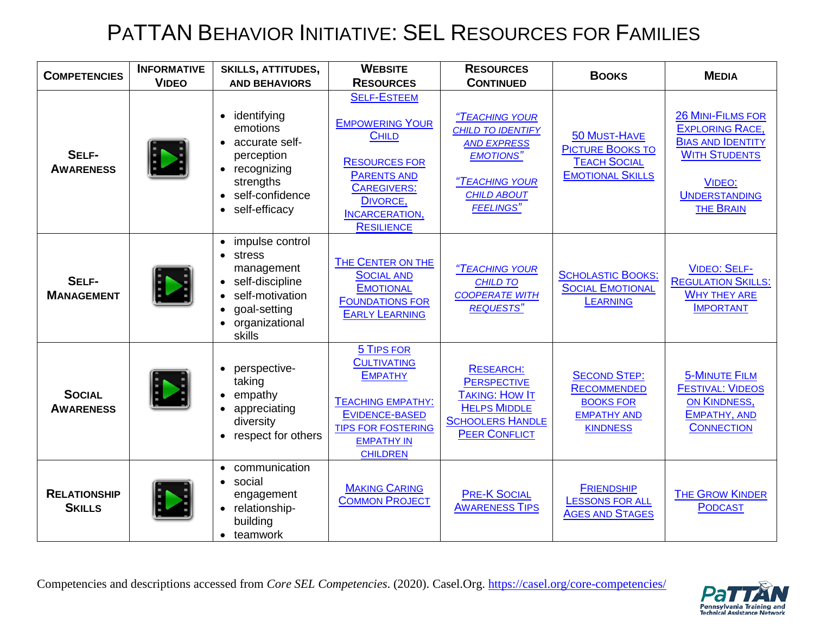## PATTAN BEHAVIOR INITIATIVE: SEL RESOURCES FOR FAMILIES

| <b>COMPETENCIES</b>                  | <b>INFORMATIVE</b> | <b>SKILLS, ATTITUDES,</b>                                                                                                                                                     | <b>WEBSITE</b>                                                                                                                                                                             | <b>RESOURCES</b>                                                                                                                                 | <b>BOOKS</b>                                                                                           | <b>MEDIA</b>                                                                                                                                                        |
|--------------------------------------|--------------------|-------------------------------------------------------------------------------------------------------------------------------------------------------------------------------|--------------------------------------------------------------------------------------------------------------------------------------------------------------------------------------------|--------------------------------------------------------------------------------------------------------------------------------------------------|--------------------------------------------------------------------------------------------------------|---------------------------------------------------------------------------------------------------------------------------------------------------------------------|
|                                      | <b>VIDEO</b>       | <b>AND BEHAVIORS</b>                                                                                                                                                          | <b>RESOURCES</b>                                                                                                                                                                           | <b>CONTINUED</b>                                                                                                                                 |                                                                                                        |                                                                                                                                                                     |
| SELF-<br><b>AWARENESS</b>            |                    | identifying<br>$\bullet$<br>emotions<br>accurate self-<br>$\bullet$<br>perception<br>recognizing<br>$\bullet$<br>strengths<br>self-confidence<br>$\bullet$<br>self-efficacy   | <b>SELF-ESTEEM</b><br><b>EMPOWERING YOUR</b><br><b>CHILD</b><br><b>RESOURCES FOR</b><br><b>PARENTS AND</b><br><b>CAREGIVERS:</b><br>DIVORCE,<br><b>INCARCERATION,</b><br><b>RESILIENCE</b> | "TEACHING YOUR<br><b>CHILD TO IDENTIFY</b><br><b>AND EXPRESS</b><br><b>EMOTIONS"</b><br>"TEACHING YOUR<br><b>CHILD ABOUT</b><br><b>FEELINGS"</b> | 50 MUST-HAVE<br><b>PICTURE BOOKS TO</b><br><b>TEACH SOCIAL</b><br><b>EMOTIONAL SKILLS</b>              | <b>26 MINI-FILMS FOR</b><br><b>EXPLORING RACE,</b><br><b>BIAS AND IDENTITY</b><br><b>WITH STUDENTS</b><br><b>VIDEO:</b><br><b>UNDERSTANDING</b><br><b>THE BRAIN</b> |
| SELF-<br><b>MANAGEMENT</b>           |                    | impulse control<br>$\bullet$<br>stress<br>management<br>self-discipline<br>$\bullet$<br>self-motivation<br>goal-setting<br>$\bullet$<br>organizational<br>$\bullet$<br>skills | THE CENTER ON THE<br><b>SOCIAL AND</b><br><b>EMOTIONAL</b><br><b>FOUNDATIONS FOR</b><br><b>EARLY LEARNING</b>                                                                              | "TEACHING YOUR<br><b>CHILD TO</b><br><b>COOPERATE WITH</b><br><b>REQUESTS"</b>                                                                   | <b>SCHOLASTIC BOOKS:</b><br><b>SOCIAL EMOTIONAL</b><br><b>LEARNING</b>                                 | <b>VIDEO: SELF-</b><br><b>REGULATION SKILLS:</b><br><b>WHY THEY ARE</b><br><b>IMPORTANT</b>                                                                         |
| <b>SOCIAL</b><br><b>AWARENESS</b>    |                    | perspective-<br>$\bullet$<br>taking<br>empathy<br>appreciating<br>$\bullet$<br>diversity<br>respect for others<br>$\bullet$                                                   | <b>5 TIPS FOR</b><br><b>CULTIVATING</b><br><b>EMPATHY</b><br><b>TEACHING EMPATHY:</b><br>EVIDENCE-BASED<br><b>TIPS FOR FOSTERING</b><br><b>EMPATHY IN</b><br><b>CHILDREN</b>               | <b>RESEARCH:</b><br><b>PERSPECTIVE</b><br><b>TAKING: HOW IT</b><br><b>HELPS MIDDLE</b><br><b>SCHOOLERS HANDLE</b><br><b>PEER CONFLICT</b>        | <b>SECOND STEP:</b><br><b>RECOMMENDED</b><br><b>BOOKS FOR</b><br><b>EMPATHY AND</b><br><b>KINDNESS</b> | <b>5-MINUTE FILM</b><br><b>FESTIVAL: VIDEOS</b><br>ON KINDNESS,<br>EMPATHY, AND<br><b>CONNECTION</b>                                                                |
| <b>RELATIONSHIP</b><br><b>SKILLS</b> |                    | communication<br>$\bullet$<br>social<br>$\bullet$<br>engagement<br>relationship-<br>building<br>teamwork<br>$\bullet$                                                         | <b>MAKING CARING</b><br><b>COMMON PROJECT</b>                                                                                                                                              | <b>PRE-K SOCIAL</b><br><b>AWARENESS TIPS</b>                                                                                                     | <b>FRIENDSHIP</b><br><b>LESSONS FOR ALL</b><br><b>AGES AND STAGES</b>                                  | <b>THE GROW KINDER</b><br><b>PODCAST</b>                                                                                                                            |